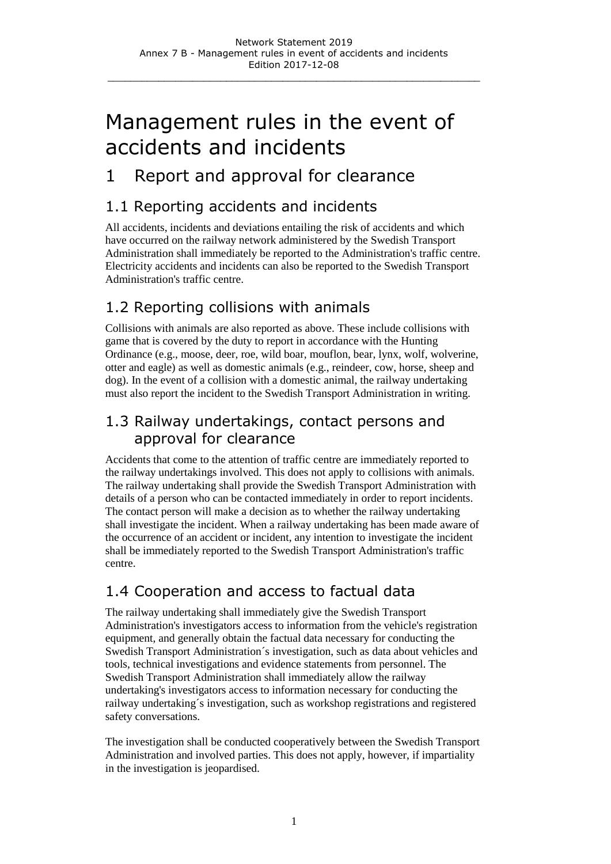# Management rules in the event of accidents and incidents

### 1 Report and approval for clearance

#### 1.1 Reporting accidents and incidents

All accidents, incidents and deviations entailing the risk of accidents and which have occurred on the railway network administered by the Swedish Transport Administration shall immediately be reported to the Administration's traffic centre. Electricity accidents and incidents can also be reported to the Swedish Transport Administration's traffic centre.

#### 1.2 Reporting collisions with animals

Collisions with animals are also reported as above. These include collisions with game that is covered by the duty to report in accordance with the Hunting Ordinance (e.g., moose, deer, roe, wild boar, mouflon, bear, lynx, wolf, wolverine, otter and eagle) as well as domestic animals (e.g., reindeer, cow, horse, sheep and dog). In the event of a collision with a domestic animal, the railway undertaking must also report the incident to the Swedish Transport Administration in writing.

#### 1.3 Railway undertakings, contact persons and approval for clearance

Accidents that come to the attention of traffic centre are immediately reported to the railway undertakings involved. This does not apply to collisions with animals. The railway undertaking shall provide the Swedish Transport Administration with details of a person who can be contacted immediately in order to report incidents. The contact person will make a decision as to whether the railway undertaking shall investigate the incident. When a railway undertaking has been made aware of the occurrence of an accident or incident, any intention to investigate the incident shall be immediately reported to the Swedish Transport Administration's traffic centre.

#### 1.4 Cooperation and access to factual data

The railway undertaking shall immediately give the Swedish Transport Administration's investigators access to information from the vehicle's registration equipment, and generally obtain the factual data necessary for conducting the Swedish Transport Administration´s investigation, such as data about vehicles and tools, technical investigations and evidence statements from personnel. The Swedish Transport Administration shall immediately allow the railway undertaking's investigators access to information necessary for conducting the railway undertaking´s investigation, such as workshop registrations and registered safety conversations.

The investigation shall be conducted cooperatively between the Swedish Transport Administration and involved parties. This does not apply, however, if impartiality in the investigation is jeopardised.